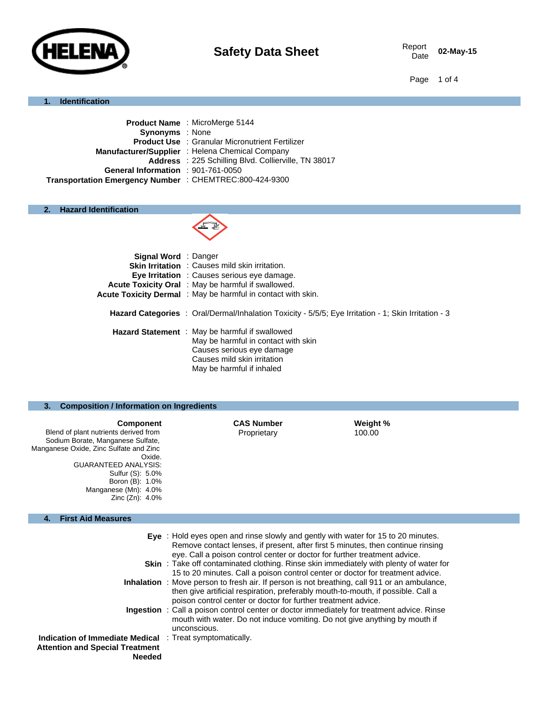

02-May-15

Page 1 of 4

## **1. Identification**

|                                                         | Product Name: MicroMerge 5144                          |  |
|---------------------------------------------------------|--------------------------------------------------------|--|
| <b>Synonyms</b> : None                                  |                                                        |  |
|                                                         | <b>Product Use : Granular Micronutrient Fertilizer</b> |  |
|                                                         | Manufacturer/Supplier: Helena Chemical Company         |  |
|                                                         | Address : 225 Schilling Blvd. Collierville, TN 38017   |  |
| General Information : 901-761-0050                      |                                                        |  |
| Transportation Emergency Number : CHEMTREC:800-424-9300 |                                                        |  |
|                                                         |                                                        |  |

## **2. Hazard Identification**



| <b>Signal Word</b> : Danger |                                                                                                                                                                                |
|-----------------------------|--------------------------------------------------------------------------------------------------------------------------------------------------------------------------------|
|                             | <b>Skin Irritation</b> : Causes mild skin irritation.                                                                                                                          |
|                             | <b>Eye Irritation</b> : Causes serious eye damage.                                                                                                                             |
|                             | <b>Acute Toxicity Oral</b> : May be harmful if swallowed.                                                                                                                      |
|                             | Acute Toxicity Dermal: May be harmful in contact with skin.                                                                                                                    |
|                             | <b>Hazard Categories</b> : Oral/Dermal/Inhalation Toxicity - 5/5/5; Eye Irritation - 1; Skin Irritation - 3                                                                    |
|                             | Hazard Statement : May be harmful if swallowed<br>May be harmful in contact with skin<br>Causes serious eye damage<br>Causes mild skin irritation<br>May be harmful if inhaled |

# **3. Composition / Information on Ingredients**

| <b>Component</b><br>Blend of plant nutrients derived from<br>Sodium Borate, Manganese Sulfate,<br>Manganese Oxide, Zinc Sulfate and Zinc<br>Oxide.<br><b>GUARANTEED ANALYSIS:</b><br>Sulfur (S): 5.0%<br>Boron (B): 1.0%<br>Manganese (Mn): 4.0%<br>Zinc $(Zn)$ : 4.0% | <b>CAS Number</b><br>Proprietary                                                  | Weight %<br>100.00 |  |
|------------------------------------------------------------------------------------------------------------------------------------------------------------------------------------------------------------------------------------------------------------------------|-----------------------------------------------------------------------------------|--------------------|--|
| <b>First Aid Measures</b><br>4.                                                                                                                                                                                                                                        |                                                                                   |                    |  |
|                                                                                                                                                                                                                                                                        | Eye : Hold eyes open and rinse slowly and gently with water for 15 to 20 minutes. |                    |  |

|                                                                 | Lyc. Thold eyes open and mise slowly and gently with water for TS to LO minutes.<br>Remove contact lenses, if present, after first 5 minutes, then continue rinsing                                                                                      |
|-----------------------------------------------------------------|----------------------------------------------------------------------------------------------------------------------------------------------------------------------------------------------------------------------------------------------------------|
|                                                                 | eye. Call a poison control center or doctor for further treatment advice.                                                                                                                                                                                |
|                                                                 | <b>Skin</b> : Take off contaminated clothing. Rinse skin immediately with plenty of water for                                                                                                                                                            |
|                                                                 | 15 to 20 minutes. Call a poison control center or doctor for treatment advice.                                                                                                                                                                           |
|                                                                 | <b>Inhalation</b> : Move person to fresh air. If person is not breathing, call 911 or an ambulance,<br>then give artificial respiration, preferably mouth-to-mouth, if possible. Call a<br>poison control center or doctor for further treatment advice. |
|                                                                 | <b>Ingestion</b> : Call a poison control center or doctor immediately for treatment advice. Rinse<br>mouth with water. Do not induce vomiting. Do not give anything by mouth if<br>unconscious.                                                          |
| <b>Indication of Immediate Medical</b> : Treat symptomatically. |                                                                                                                                                                                                                                                          |
| <b>Attention and Special Treatment</b>                          |                                                                                                                                                                                                                                                          |
| <b>Needed</b>                                                   |                                                                                                                                                                                                                                                          |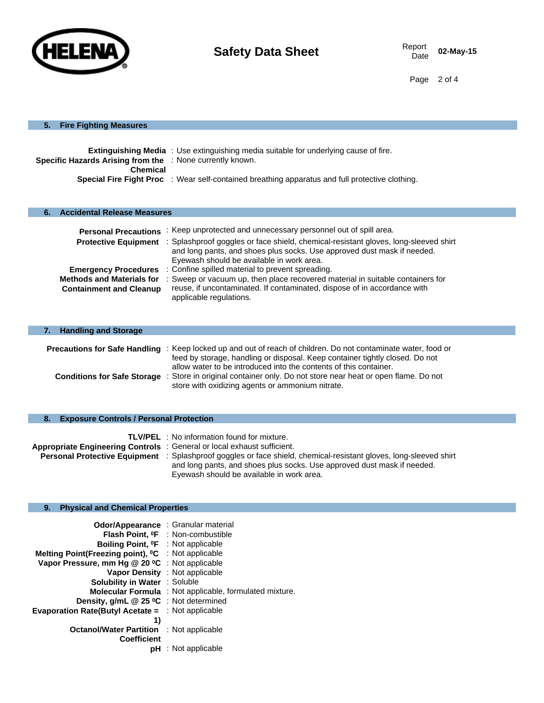

Page 2 of 4

### **5. Fire Fighting Measures**

| <b>Specific Hazards Arising from the : None currently known.</b>                                                          |  |
|---------------------------------------------------------------------------------------------------------------------------|--|
| <b>Chemical</b><br><b>Special Fire Fight Proc</b> : Wear self-contained breathing apparatus and full protective clothing. |  |

| <b>Accidental Release Measures</b><br>6. |                                                                                                                                                                                                                                  |
|------------------------------------------|----------------------------------------------------------------------------------------------------------------------------------------------------------------------------------------------------------------------------------|
| <b>Personal Precautions</b>              | : Keep unprotected and unnecessary personnel out of spill area.                                                                                                                                                                  |
|                                          | Protective Equipment : Splashproof goggles or face shield, chemical-resistant gloves, long-sleeved shirt<br>and long pants, and shoes plus socks. Use approved dust mask if needed.<br>Eyewash should be available in work area. |
| <b>Emergency Procedures</b>              | : Confine spilled material to prevent spreading.                                                                                                                                                                                 |
| <b>Methods and Materials for</b>         | : Sweep or vacuum up, then place recovered material in suitable containers for                                                                                                                                                   |
| <b>Containment and Cleanup</b>           | reuse, if uncontaminated. If contaminated, dispose of in accordance with<br>applicable regulations.                                                                                                                              |

| 7. Handling and Storage            |                                                                                                                                                                                                           |
|------------------------------------|-----------------------------------------------------------------------------------------------------------------------------------------------------------------------------------------------------------|
|                                    | <b>Precautions for Safe Handling</b> : Keep locked up and out of reach of children. Do not contaminate water, food or<br>feed by storage, handling or disposal. Keep container tightly closed. Do not     |
| <b>Conditions for Safe Storage</b> | allow water to be introduced into the contents of this container.<br>: Store in original container only. Do not store near heat or open flame. Do not<br>store with oxidizing agents or ammonium nitrate. |

## **8. Exposure Controls / Personal Protection**

|                                                                        | <b>TLV/PEL</b> : No information found for mixture.                                                                       |
|------------------------------------------------------------------------|--------------------------------------------------------------------------------------------------------------------------|
| Appropriate Engineering Controls: General or local exhaust sufficient. |                                                                                                                          |
|                                                                        | <b>Personal Protective Equipment</b> : Splashproof goggles or face shield, chemical-resistant gloves, long-sleeved shirt |
|                                                                        | and long pants, and shoes plus socks. Use approved dust mask if needed.                                                  |
|                                                                        | Eyewash should be available in work area.                                                                                |

### **9. Physical and Chemical Properties**

| Odor/Appearance : Granular material                            |                                                         |
|----------------------------------------------------------------|---------------------------------------------------------|
|                                                                | Flash Point, <sup>o</sup> F : Non-combustible           |
| Boiling Point, <sup>o</sup> F : Not applicable                 |                                                         |
| Melting Point(Freezing point), <sup>o</sup> C : Not applicable |                                                         |
| Vapor Pressure, mm Hg @ 20 °C : Not applicable                 |                                                         |
|                                                                | Vapor Density : Not applicable                          |
| <b>Solubility in Water : Soluble</b>                           |                                                         |
|                                                                | Molecular Formula : Not applicable, formulated mixture. |
| Density, g/mL @ 25 °C : Not determined                         |                                                         |
| <b>Evaporation Rate(Butyl Acetate = : Not applicable</b>       |                                                         |
| 1)                                                             |                                                         |
| <b>Octanol/Water Partition</b> : Not applicable                |                                                         |
| <b>Coefficient</b>                                             |                                                         |
|                                                                | pH : Not applicable                                     |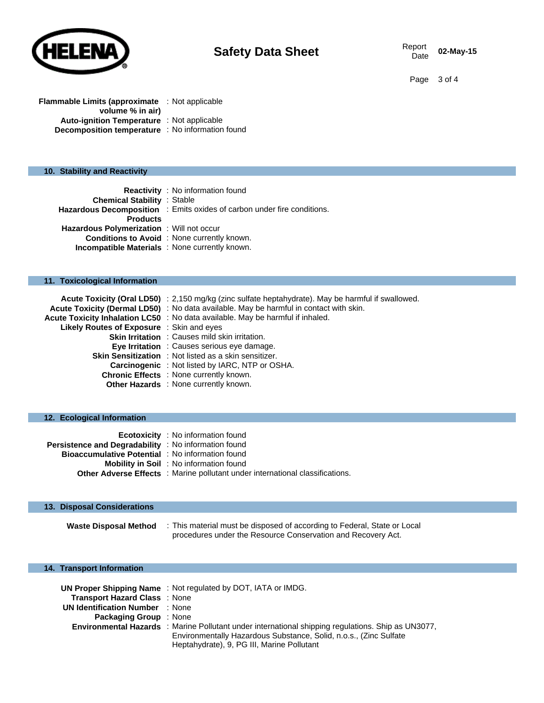

02-May-15

Page 3 of 4

| <b>Flammable Limits (approximate</b> : Not applicable |  |
|-------------------------------------------------------|--|
| volume % in air)                                      |  |
| <b>Auto-ignition Temperature</b> : Not applicable     |  |
| Decomposition temperature : No information found      |  |

### **10. Stability and Reactivity**

|                                                       | <b>Reactivity</b> : No information found                                |
|-------------------------------------------------------|-------------------------------------------------------------------------|
| <b>Chemical Stability : Stable</b>                    |                                                                         |
|                                                       | Hazardous Decomposition : Emits oxides of carbon under fire conditions. |
| <b>Products</b>                                       |                                                                         |
| <b>Hazardous Polymerization</b> : Will not occur      |                                                                         |
|                                                       | <b>Conditions to Avoid</b> : None currently known.                      |
| <b>Incompatible Materials</b> : None currently known. |                                                                         |

## **11. Toxicological Information**

|                                                  | Acute Toxicity (Oral LD50) : 2,150 mg/kg (zinc sulfate heptahydrate). May be harmful if swallowed. |
|--------------------------------------------------|----------------------------------------------------------------------------------------------------|
|                                                  | Acute Toxicity (Dermal LD50) : No data available. May be harmful in contact with skin.             |
|                                                  | Acute Toxicity Inhalation LC50 : No data available. May be harmful if inhaled.                     |
| <b>Likely Routes of Exposure</b> : Skin and eyes |                                                                                                    |
|                                                  | <b>Skin Irritation</b> : Causes mild skin irritation.                                              |
|                                                  | <b>Eve Irritation</b> : Causes serious eye damage.                                                 |
|                                                  | Skin Sensitization : Not listed as a skin sensitizer.                                              |
|                                                  | <b>Carcinogenic</b> : Not listed by IARC, NTP or OSHA.                                             |
|                                                  | <b>Chronic Effects</b> : None currently known.                                                     |
|                                                  | <b>Other Hazards</b> : None currently known.                                                       |

## **12. Ecological Information**

|                                                             | <b>Ecotoxicity</b> : No information found                                            |
|-------------------------------------------------------------|--------------------------------------------------------------------------------------|
| <b>Persistence and Degradability</b> : No information found |                                                                                      |
| <b>Bioaccumulative Potential</b> : No information found     |                                                                                      |
|                                                             | <b>Mobility in Soil</b> : No information found                                       |
|                                                             | <b>Other Adverse Effects</b> : Marine pollutant under international classifications. |

| 13. Disposal Considerations  |                                                                                                                                          |
|------------------------------|------------------------------------------------------------------------------------------------------------------------------------------|
| <b>Waste Disposal Method</b> | : This material must be disposed of according to Federal, State or Local<br>procedures under the Resource Conservation and Recovery Act. |

### **14. Transport Information**

|                                        | <b>UN Proper Shipping Name: Not regulated by DOT, IATA or IMDG.</b>                                       |
|----------------------------------------|-----------------------------------------------------------------------------------------------------------|
| Transport Hazard Class: None           |                                                                                                           |
| <b>UN Identification Number</b> : None |                                                                                                           |
| <b>Packaging Group</b> : None          |                                                                                                           |
|                                        | <b>Environmental Hazards</b> : Marine Pollutant under international shipping regulations. Ship as UN3077, |
|                                        | Environmentally Hazardous Substance, Solid, n.o.s., (Zinc Sulfate)                                        |
|                                        | Heptahydrate), 9, PG III, Marine Pollutant                                                                |